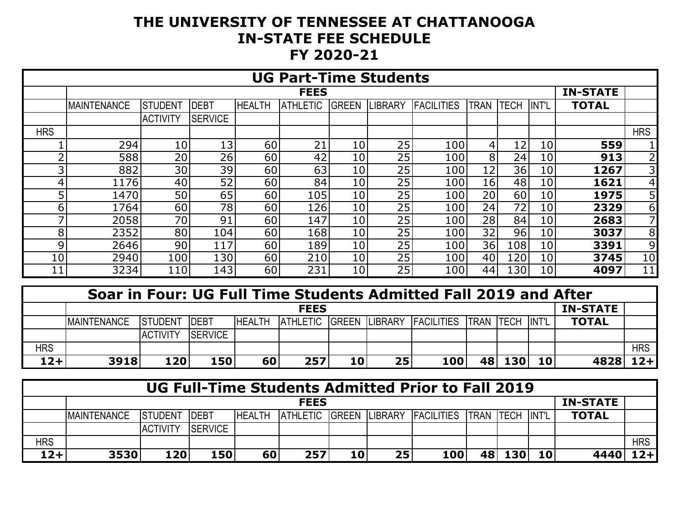## **THE UNIVERSITY OF TENNESSEE AT CHATTANOOGA IN-STATE FEE SCHEDULE FY 2020-21**

| <b>UG Part-Time Students</b> |                    |                 |                 |               |                 |                 |                |                   |                |                 |              |              |                 |
|------------------------------|--------------------|-----------------|-----------------|---------------|-----------------|-----------------|----------------|-------------------|----------------|-----------------|--------------|--------------|-----------------|
|                              |                    |                 | <b>IN-STATE</b> |               |                 |                 |                |                   |                |                 |              |              |                 |
|                              | <b>MAINTENANCE</b> | ISTUDENT        | <b>DEBT</b>     | <b>HEALTH</b> | <b>ATHLETIC</b> | <b>GREEN</b>    | <b>LIBRARY</b> | <b>FACILITIES</b> | <b>TRAN</b>    | <b>TECH</b>     | <b>INT'L</b> | <b>TOTAL</b> |                 |
|                              |                    | <b>ACTIVITY</b> | <b>SERVICE</b>  |               |                 |                 |                |                   |                |                 |              |              |                 |
| <b>HRS</b>                   |                    |                 |                 |               |                 |                 |                |                   |                |                 |              |              | <b>HRS</b>      |
|                              | 294                | 10              | 13 <sub>1</sub> | 60            | 21              | 10 <sub>1</sub> | 25             | 100               | $\overline{4}$ | 12 <sub>1</sub> | 10           | 559          |                 |
| n                            | 588                | 20              | 26              | 60            | 42              | 10 <sub>1</sub> | 25             | 100               | 8 <sup>1</sup> | 24              | 10           | 913          | 2               |
| 3                            | 882                | 30              | 39              | 60            | 63              | 10 <sub>1</sub> | 25             | 100               | 12             | 36              | 10           | 1267         | 31              |
| 4                            | 1176               | 40              | 52              | 60            | 84              | 10              | 25             | 100               | 16             | 48              | 10           | 1621         | 4               |
| 5                            | 1470               | 50              | 65              | 60            | 105             | 10              | 25             | 100               | 20             | 60              | 10           | 1975         | 5               |
| 6                            | 1764               | 60              | 78              | 60            | 126             | 10              | 25             | 100               | 24             | 72 <sub>1</sub> | 10           | 2329         | $6 \mid$        |
| ⇁                            | 2058               | 70              | 91              | 60            | 147             | 10              | 25             | 100               | 28             | 84              | 10           | 2683         | 71              |
| 8                            | 2352               | 80              | 104             | 60            | 168             | 10              | 25             | 100               | 32             | 96              | 10           | 3037         | 8 <sup>1</sup>  |
| 9                            | 2646               | 90              | 117             | 60            | 189             | 10              | 25             | 100               | 36             | 108             | 10           | 3391         | $\overline{9}$  |
| 10                           | 2940               | 100             | 130             | 60            | 210             | 10              | 25             | 100               | 40             | 120             | 10           | 3745         | 10 <sub>l</sub> |
| 11                           | 3234               | 110             | 143             | 60            | 231             | 10 <sub>1</sub> | 25             | 100               | 44             | 130             | 10           | 4097         | 11              |

|            | Soar in Four: UG Full Time Students Admitted Fall 2019 and After |                 |                 |               |     |    |    |                                                   |    |     |                 |              |            |
|------------|------------------------------------------------------------------|-----------------|-----------------|---------------|-----|----|----|---------------------------------------------------|----|-----|-----------------|--------------|------------|
|            | <b>FEES</b>                                                      |                 |                 |               |     |    |    |                                                   |    |     |                 |              |            |
|            | <b>MAINTENANCE</b>                                               | <b>ISTUDENT</b> | <b>IDEBT</b>    | <b>HEALTH</b> |     |    |    | ATHLETIC GREEN LIBRARY FACILITIES TRAN TECH INT'L |    |     |                 | <b>TOTAL</b> |            |
|            |                                                                  | <b>ACTIVITY</b> | <b>ISERVICE</b> |               |     |    |    |                                                   |    |     |                 |              |            |
| <b>HRS</b> |                                                                  |                 |                 |               |     |    |    |                                                   |    |     |                 |              | <b>HRS</b> |
| $12 +$     | 3918                                                             | 120             | 150             | 60            | 257 | 10 | 25 | 100                                               | 48 | 130 | 10 <sub>l</sub> | 4828         | $12+$      |

| <b>UG Full-Time Students Admitted Prior to Fall 2019</b> |                    |                 |                |               |     |    |    |                                                   |     |     |    |              |            |
|----------------------------------------------------------|--------------------|-----------------|----------------|---------------|-----|----|----|---------------------------------------------------|-----|-----|----|--------------|------------|
|                                                          | <b>FEES</b>        |                 |                |               |     |    |    |                                                   |     |     |    |              |            |
|                                                          | <b>MAINTENANCE</b> | <b>STUDENT</b>  | <b>IDEBT</b>   | <b>HEALTH</b> |     |    |    | ATHLETIC GREEN LIBRARY FACILITIES TRAN TECH INT'L |     |     |    | <b>TOTAL</b> |            |
|                                                          |                    | <b>ACTIVITY</b> | <b>SERVICE</b> |               |     |    |    |                                                   |     |     |    |              |            |
| <b>HRS</b>                                               |                    |                 |                |               |     |    |    |                                                   |     |     |    |              | <b>HRS</b> |
| $12 +$                                                   | 3530               | 120             | 150            | 60            | 257 | 10 | 25 | 100                                               | 481 | 130 | 10 | 4440         | $12+$      |